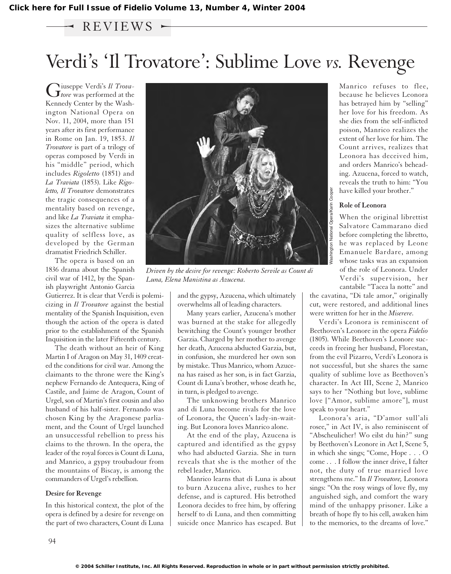### $-$  REVIEWS  $-$

# Verdi's 'Il Trovatore': Sublime Love *vs.* Revenge

Giuseppe Verdi's *Il Trova-*<br>*Liore* was performed at the Kennedy Center by the Washington National Opera on Nov. 11, 2004, more than 151 years after its first performance in Rome on Jan. 19, 1853. *Il Trovatore* is part of a trilogy of operas composed by Verdi in his "middle" period, which includes *Rigoletto* (1851) and *La Traviata* (1853). Like *Rigoletto, Il Trovatore* demonstrates the tragic consequences of a mentality based on revenge, and like *La Traviata* it emphasizes the alternative sublime quality of selfless love, as developed by the German dramatist Friedrich Schiller.

The opera is based on an 1836 drama about the Spanish civil war of 1412, by the Spanish playwright Antonio Garcia

Gutierrez. It is clear that Verdi is polemicizing in *Il Trovatore* against the bestial mentality of the Spanish Inquisition, even though the action of the opera is dated prior to the establishment of the Spanish Inquisition in the later Fifteenth century.

The death without an heir of King Martin I of Aragon on May 31, 1409 created the conditions for civil war. Among the claimants to the throne were the King's nephew Fernando de Antequera, King of Castile, and Jaime de Aragon, Count of Urgel, son of Martin's first cousin and also husband of his half-sister. Fernando was chosen King by the Aragonese parliament, and the Count of Urgel launched an unsuccessful rebellion to press his claims to the thrown. In the opera, the leader of the royal forces is Count di Luna, and Manrico, a gypsy troubadour from the mountains of Biscay, is among the commanders of Urgel's rebellion.

#### **Desire for Revenge**

In this historical context, the plot of the opera is defined by a desire for revenge on the part of two characters, Count di Luna



*Driven by the desire for revenge: Roberto Servile as Count di Luna, Elena Manistina as Azucena.*

and the gypsy, Azucena, which ultimately overwhelms all of leading characters.

Many years earlier, Azucena's mother was burned at the stake for allegedly bewitching the Count's younger brother Garzia. Charged by her mother to avenge her death, Azucena abducted Garzia, but, in confusion, she murdered her own son by mistake. Thus Manrico, whom Azucena has raised as her son, is in fact Garzia, Count di Luna's brother, whose death he, in turn, is pledged to avenge.

The unknowing brothers Manrico and di Luna become rivals for the love of Leonora, the Queen's lady-in-waiting. But Leonora loves Manrico alone.

At the end of the play, Azucena is captured and identified as the gypsy who had abducted Garzia. She in turn reveals that she is the mother of the rebel leader, Manrico.

Manrico learns that di Luna is about to burn Azucena alive, rushes to her defense, and is captured. His betrothed Leonora decides to free him, by offering herself to di Luna, and then committing suicide once Manrico has escaped. But

Manrico refuses to flee, because he believes Leonora has betrayed him by "selling" her love for his freedom. As she dies from the self-inflicted poison, Manrico realizes the extent of her love for him. The Count arrives, realizes that Leonora has deceived him, and orders Manrico's beheading. Azucena, forced to watch, reveals the truth to him: "You have killed your brother."

#### **Role of Leonora**

When the original librettist Salvatore Cammarano died before completing the libretto, he was replaced by Leone Emanuele Bardare, among whose tasks was an expansion of the role of Leonora. Under Verdi's supervision, her cantabile "Tacea la notte" and

the cavatina, "Di tale amor," originally cut, were restored, and additional lines were written for her in the *Miserere.*

Verdi's Leonora is reminiscent of Beethoven's Leonore in the opera *Fidelio* (1805). While Beethoven's Leonore succeeds in freeing her husband, Florestan, from the evil Pizarro, Verdi's Leonora is not successful, but she shares the same quality of sublime love as Beethoven's character. In Act III, Scene 2, Manrico says to her "Nothing but love, sublime love ["Amor, sublime amore"], must speak to your heart."

Leonora's aria, "D'amor sull'ali rosee," in Act IV, is also reminiscent of "Abscheulicher! Wo eilst du hin?" sung by Beethoven's Leonore in Act I, Scene 5, in which she sings; "Come, Hope . . . O come . . . I follow the inner drive, I falter not, the duty of true married love strengthens me." In *Il Trovatore,* Leonora sings: "On the rosy wings of love fly, my anguished sigh, and comfort the wary mind of the unhappy prisoner. Like a breath of hope fly to his cell, awaken him to the memories, to the dreams of love."